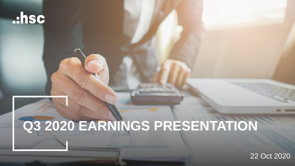### ..hsc

# **Q3 2020 EARNINGS PRESENTATION**

22 Oct 2020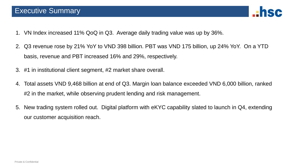

- 1. VN Index increased 11% QoQ in Q3. Average daily trading value was up by 36%.
- 2. Q3 revenue rose by 21% YoY to VND 398 billion. PBT was VND 175 billion, up 24% YoY. On a YTD basis, revenue and PBT increased 16% and 29%, respectively.
- 3. #1 in institutional client segment, #2 market share overall.
- 4. Total assets VND 9,468 billion at end of Q3. Margin loan balance exceeded VND 6,000 billion, ranked #2 in the market, while observing prudent lending and risk management.
- 5. New trading system rolled out. Digital platform with eKYC capability slated to launch in Q4, extending our customer acquisition reach.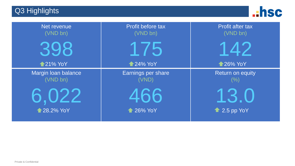Q3 Highlights



| Net revenue<br>(VND bn)         | Profit before tax<br>(VND bn) | <b>Profit after tax</b><br>(VND bn) |
|---------------------------------|-------------------------------|-------------------------------------|
|                                 | 75                            |                                     |
| <b>121% YoY</b>                 | <b>124% YoY</b>               | <b>126% YoY</b>                     |
| Margin Ioan balance<br>(VND bn) | Earnings per share<br>(VND)   | <b>Return on equity</b><br>(%)      |
|                                 |                               |                                     |
| <b>128.2% YoY</b>               | <b>126% YoY</b>               | $\triangle$ 2.5 pp YoY              |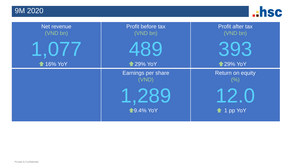9M 2020



| Net revenue<br>(VND bn) | Profit before tax<br>(VND bn) | <b>Profit after tax</b><br>(VND bn) |
|-------------------------|-------------------------------|-------------------------------------|
|                         | 489                           |                                     |
| <b>16% YoY</b>          | <b>129% YoY</b>               | <b>129% YoY</b>                     |
|                         | Earnings per share<br>(VND)   | <b>Return on equity</b><br>(%)      |
|                         | $\sqrt{9.4\% \text{ YoY}}$    | $\triangle$ 1 pp YoY                |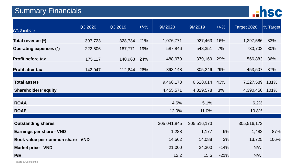#### Summary Financials



| (VND million)                     | Q3.2020 | Q3.2019 | $+/-\%$ | 9M2020      | 9M2019      | $+/-\%$ | Target 2020 | % Target |
|-----------------------------------|---------|---------|---------|-------------|-------------|---------|-------------|----------|
| Total revenue (*)                 | 397,723 | 328,734 | 21%     | 1,076,771   | 927,463     | 16%     | 1,297,586   | 83%      |
| Operating expenses (*)            | 222,606 | 187,771 | 19%     | 587,846     | 548,351     | 7%      | 730,702     | 80%      |
| <b>Profit before tax</b>          | 175,117 | 140,963 | 24%     | 488,979     | 379,169     | 29%     | 566,883     | 86%      |
| <b>Profit after tax</b>           | 142,047 | 112,644 | 26%     | 393,148     | 305,246     | 29%     | 453,507     | 87%      |
|                                   |         |         |         |             |             |         |             |          |
| <b>Total assets</b>               |         |         |         | 9,468,173   | 6,628,014   | 43%     | 7,227,589   | 131%     |
| <b>Shareholders' equity</b>       |         |         |         | 4,455,571   | 4,329,578   | 3%      | 4,390,450   | 101%     |
|                                   |         |         |         |             |             |         |             |          |
| <b>ROAA</b>                       |         |         |         | 4.6%        | 5.1%        |         | 6.2%        |          |
| <b>ROAE</b>                       |         |         |         | 12.0%       | 11.0%       |         | 10.8%       |          |
|                                   |         |         |         |             |             |         |             |          |
| <b>Outstanding shares</b>         |         |         |         | 305,041,845 | 305,516,173 |         | 305,516,173 |          |
| <b>Earnings per share - VND</b>   |         |         |         | 1,288       | 1,177       | 9%      | 1,482       | 87%      |
| Book value per common share - VND |         |         |         | 14,562      | 14,088      | 3%      | 13,725      | 106%     |
| <b>Market price - VND</b>         |         |         |         | 21,000      | 24,300      | $-14%$  | N/A         |          |
| P/E                               |         |         |         | 12.2        | 15.5        | $-21%$  | N/A         |          |

Private & Confidential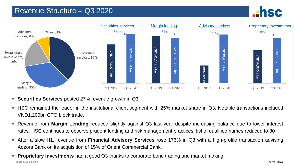#### Revenue Structure – Q3 2020





- **Securities Services** posted 27% revenue growth in Q3
- HSC remained the leader in the institutional client segment with 25% market share in Q3. Notable transactions included VND1,200bn CTG block trade.
- Revenue from **Margin Lending** reduced slightly against Q3 last year despite increasing balance due to lower interest rates. HSC continues to observe prudent lending and risk management practices; list of qualified names reduced to 80
- After a slow H1, revenue from **Financial Advisory Services** rose 176% in Q3 with a high-profile transaction advising Aozora Bank on its acquisition of 15% of Orient Commercial Bank.
- Private & Confidential **Proprietary Investments** had a good Q3 thanks to corporate bond trading and market making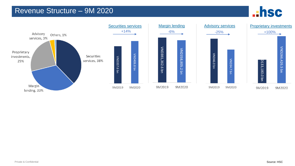#### Revenue Structure – 9M 2020



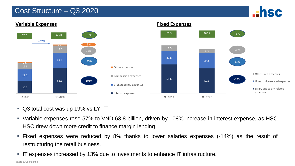#### Cost Structure – Q3 2020





- Q3 total cost was up 19% vs LY
- Variable expenses rose 57% to VND 63.8 billion, driven by 108% increase in interest expense, as HSC HSC drew down more credit to finance margin lending.
- Fixed expenses were reduced by 8% thanks to lower salaries expenses (-14%) as the result of restructuring the retail business.
- IT expenses increased by 13% due to investments to enhance IT infrastructure.

Private & Confidential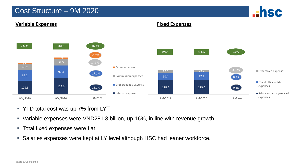#### Cost Structure – 9M 2020





- YTD total cost was up 7% from LY
- Variable expenses were VND281.3 billion, up 16%, in line with revenue growth
- **Total fixed expenses were flat**
- Salaries expenses were kept at LY level although HSC had leaner workforce.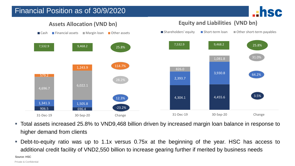#### Financial Position as of 30/9/2020





**Assets Allocation (VND bn)**

**Equity and Liabilities (VND bn)**

- Total assets increased 25.8% to VND9,468 billion driven by increased margin loan balance in response to higher demand from clients
- Debt-to-equity ratio was up to 1.1x versus 0.75x at the beginning of the year. HSC has access to additional credit facility of VND2,550 billion to increase gearing further if merited by business needs

Source: HSC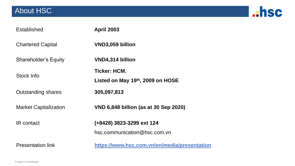#### About HSC



| <b>Established</b>           | <b>April 2003</b>                                         |
|------------------------------|-----------------------------------------------------------|
| <b>Chartered Capital</b>     | VND3,059 billion                                          |
| <b>Shareholder's Equity</b>  | VND4,314 billion                                          |
| Stock Info                   | <b>Ticker: HCM.</b><br>Listed on May 19th, 2009 on HOSE   |
| <b>Outstanding shares</b>    | 305,097,813                                               |
| <b>Market Capitalization</b> | VND 6,848 billion (as at 30 Sep 2020)                     |
| <b>IR</b> contact            | (+8428) 3823-3299 ext 124<br>hsc.communication@hsc.com.vn |
| <b>Presentation link</b>     | https://www.hsc.com.vn/en/media/presentation              |